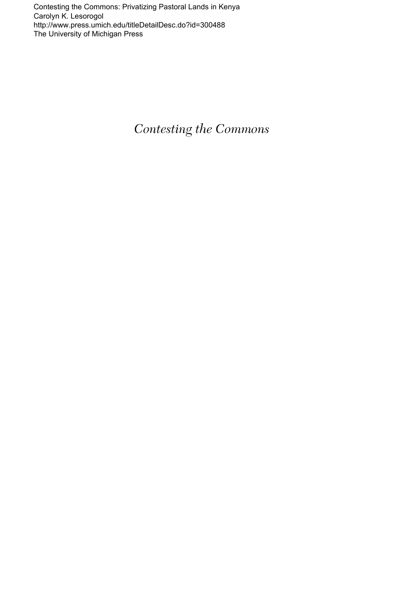### *Contesting the Commons*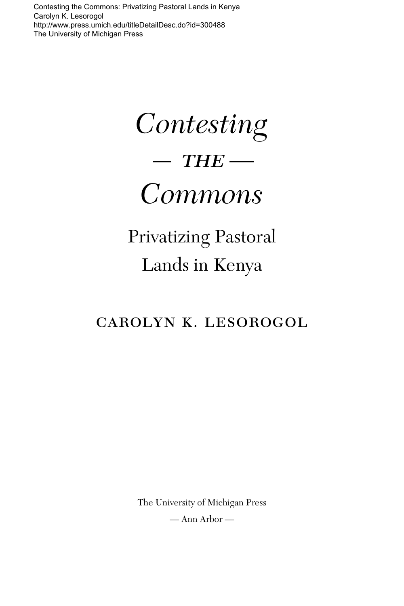*Contesting*  $-$  THE  $-$ *Commons*

# Privatizing Pastoral Lands in Kenya

#### carolyn k. lesorogol

The University of Michigan Press

— Ann Arbor —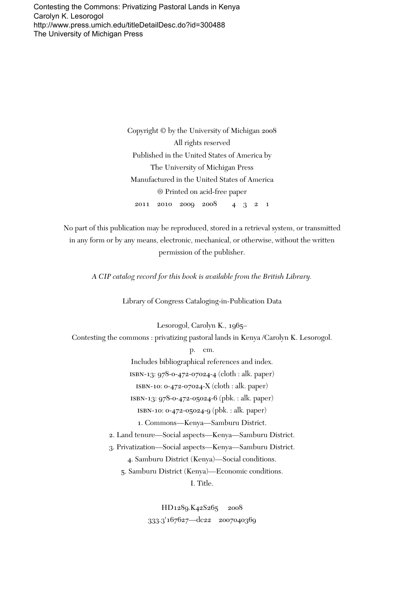> Copyright © by the University of Michigan 2008 All rights reserved Published in the United States of America by The University of Michigan Press Manufactured in the United States of America  $\circledcirc$  Printed on acid-free paper 2011 2010 2009 2008 4 3 2 1

No part of this publication may be reproduced, stored in a retrieval system, or transmitted in any form or by any means, electronic, mechanical, or otherwise, without the written permission of the publisher.

*A CIP catalog record for this book is available from the British Library.*

Library of Congress Cataloging-in-Publication Data

Lesorogol, Carolyn K., 1965–

Contesting the commons : privatizing pastoral lands in Kenya /Carolyn K. Lesorogol.

p. cm.

Includes bibliographical references and index.

isbn-13: 978-0-472-07024-4 (cloth : alk. paper)

isbn-10: 0-472-07024-X (cloth : alk. paper)

isbn-13: 978-0-472-05024-6 (pbk. : alk. paper)

isbn-10: 0-472-05024-9 (pbk. : alk. paper)

1. Commons—Kenya—Samburu District.

2. Land tenure—Social aspects—Kenya—Samburu District.

3. Privatization—Social aspects—Kenya—Samburu District.

4. Samburu District (Kenya)—Social conditions.

5. Samburu District (Kenya)—Economic conditions.

I. Title.

HD1289.K42S265 2008 333.3'167627—dc22 2007040369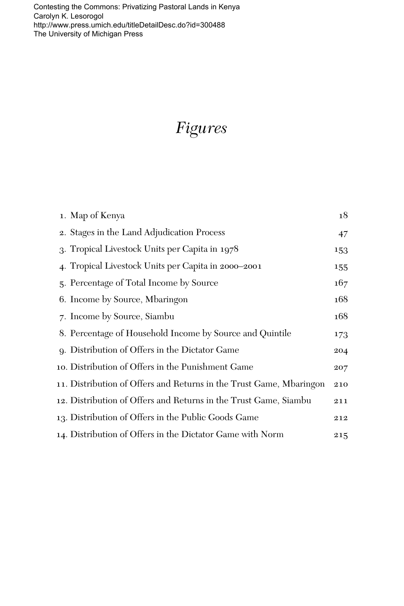# *Figures*

| 1. Map of Kenya                                                     | 18  |
|---------------------------------------------------------------------|-----|
| 2. Stages in the Land Adjudication Process                          | 47  |
| 3. Tropical Livestock Units per Capita in 1978                      | 153 |
| 4. Tropical Livestock Units per Capita in 2000-2001                 | 155 |
| 5. Percentage of Total Income by Source                             | 167 |
| 6. Income by Source, Mbaringon                                      | 168 |
| 7. Income by Source, Siambu                                         | 168 |
| 8. Percentage of Household Income by Source and Quintile            | 173 |
| 9. Distribution of Offers in the Dictator Game                      | 204 |
| 10. Distribution of Offers in the Punishment Game                   | 207 |
| 11. Distribution of Offers and Returns in the Trust Game, Mbaringon | 210 |
| 12. Distribution of Offers and Returns in the Trust Game, Siambu    | 211 |
| 13. Distribution of Offers in the Public Goods Game                 | 212 |
| 14. Distribution of Offers in the Dictator Game with Norm           | 215 |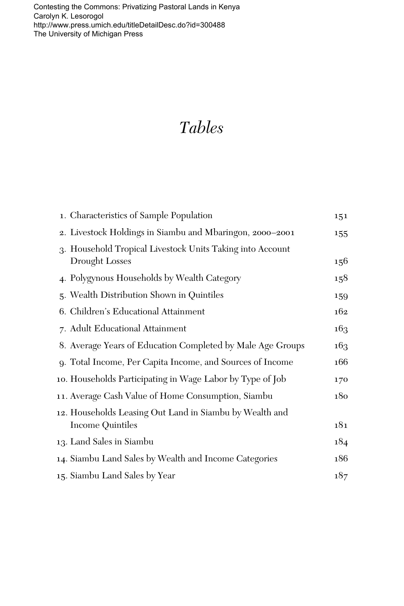## *Tables*

| 1. Characteristics of Sample Population                                     | 151 |
|-----------------------------------------------------------------------------|-----|
| 2. Livestock Holdings in Siambu and Mbaringon, 2000–2001                    | 155 |
| 3. Household Tropical Livestock Units Taking into Account<br>Drought Losses | 156 |
| 4. Polygynous Households by Wealth Category                                 | 158 |
| 5. Wealth Distribution Shown in Quintiles                                   | 159 |
| 6. Children's Educational Attainment                                        | 162 |
| 7. Adult Educational Attainment                                             | 163 |
| 8. Average Years of Education Completed by Male Age Groups                  | 163 |
| 9. Total Income, Per Capita Income, and Sources of Income                   | 166 |
| 10. Households Participating in Wage Labor by Type of Job                   | 170 |
| 11. Average Cash Value of Home Consumption, Siambu                          | 180 |
| 12. Households Leasing Out Land in Siambu by Wealth and                     |     |
| Income Quintiles                                                            | 181 |
| 13. Land Sales in Siambu                                                    | 184 |
| 14. Siambu Land Sales by Wealth and Income Categories                       | 186 |
| 15. Siambu Land Sales by Year                                               | 187 |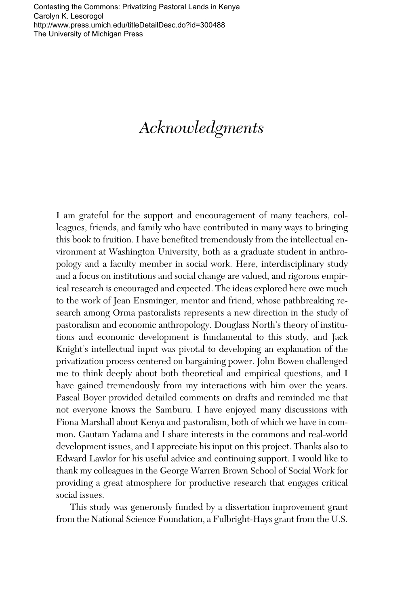## *Acknowledgments*

I am grateful for the support and encouragement of many teachers, colleagues, friends, and family who have contributed in many ways to bringing this book to fruition. I have benefited tremendously from the intellectual environment at Washington University, both as a graduate student in anthropology and a faculty member in social work. Here, interdisciplinary study and a focus on institutions and social change are valued, and rigorous empirical research is encouraged and expected. The ideas explored here owe much to the work of Jean Ensminger, mentor and friend, whose pathbreaking research among Orma pastoralists represents a new direction in the study of pastoralism and economic anthropology. Douglass North's theory of institutions and economic development is fundamental to this study, and Jack Knight's intellectual input was pivotal to developing an explanation of the privatization process centered on bargaining power. John Bowen challenged me to think deeply about both theoretical and empirical questions, and I have gained tremendously from my interactions with him over the years. Pascal Boyer provided detailed comments on drafts and reminded me that not everyone knows the Samburu. I have enjoyed many discussions with Fiona Marshall about Kenya and pastoralism, both of which we have in common. Gautam Yadama and I share interests in the commons and real-world development issues, and I appreciate his input on this project. Thanks also to Edward Lawlor for his useful advice and continuing support. I would like to thank my colleagues in the George Warren Brown School of Social Work for providing a great atmosphere for productive research that engages critical social issues.

This study was generously funded by a dissertation improvement grant from the National Science Foundation, a Fulbright-Hays grant from the U.S.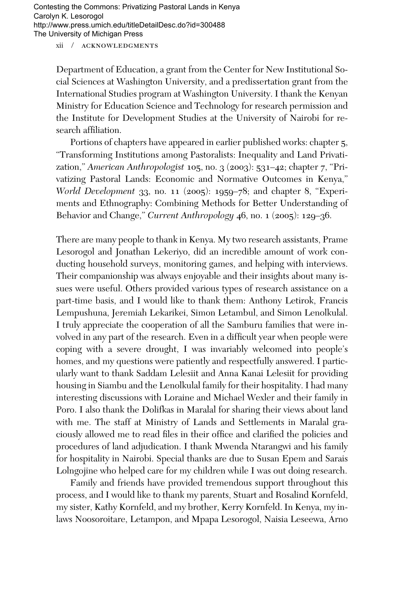xii / acknowledgments

Department of Education, a grant from the Center for New Institutional Social Sciences at Washington University, and a predissertation grant from the International Studies program at Washington University. I thank the Kenyan Ministry for Education Science and Technology for research permission and the Institute for Development Studies at the University of Nairobi for research affiliation.

Portions of chapters have appeared in earlier published works: chapter 5, "Transforming Institutions among Pastoralists: Inequality and Land Privatization," *American Anthropologist* 105, no. 3 (2003): 531–42; chapter 7, "Privatizing Pastoral Lands: Economic and Normative Outcomes in Kenya," *World Development* 33, no. 11 (2005): 1959–78; and chapter 8, "Experiments and Ethnography: Combining Methods for Better Understanding of Behavior and Change," *Current Anthropology* 46, no. 1 (2005): 129–36.

There are many people to thank in Kenya. My two research assistants, Prame Lesorogol and Jonathan Lekeriyo, did an incredible amount of work conducting household surveys, monitoring games, and helping with interviews. Their companionship was always enjoyable and their insights about many issues were useful. Others provided various types of research assistance on a part-time basis, and I would like to thank them: Anthony Letirok, Francis Lempushuna, Jeremiah Lekarikei, Simon Letambul, and Simon Lenolkulal. I truly appreciate the cooperation of all the Samburu families that were involved in any part of the research. Even in a difficult year when people were coping with a severe drought, I was invariably welcomed into people's homes, and my questions were patiently and respectfully answered. I particularly want to thank Saddam Lelesiit and Anna Kanai Lelesiit for providing housing in Siambu and the Lenolkulal family for their hospitality. I had many interesting discussions with Loraine and Michael Wexler and their family in Poro. I also thank the Dolifkas in Maralal for sharing their views about land with me. The staff at Ministry of Lands and Settlements in Maralal graciously allowed me to read files in their office and clarified the policies and procedures of land adjudication. I thank Mwenda Ntarangwi and his family for hospitality in Nairobi. Special thanks are due to Susan Epem and Sarais Lolngojine who helped care for my children while I was out doing research.

Family and friends have provided tremendous support throughout this process, and I would like to thank my parents, Stuart and Rosalind Kornfeld, my sister, Kathy Kornfeld, and my brother, Kerry Kornfeld. In Kenya, my inlaws Noosoroitare, Letampon, and Mpapa Lesorogol, Naisia Leseewa, Arno